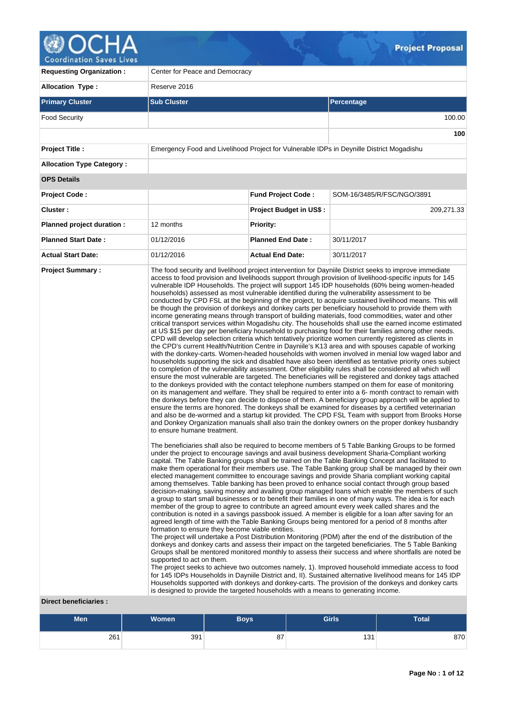

| <b>Requesting Organization:</b>                         | Center for Peace and Democracy                                                                                                                                                                    |                                |                                                                                                                                                                                                                                                                                                                                                                                                                                                                                                                                                                                                                                                                                                                                                                                                                                                                                                                                                                                                                                                                                                                                                                                                                                                                                                                                                                                                                                                                                                                                                                                                                                                                                                                                                                                                                                                                                                                                                                                                                                                                                                                                                                                                                                                                                                                                                                                                                                                                                                                                                                                                                                                                                                                                                                                                                                                                                                                                                                                                                                                                                                                                                                                                                                                                                                                                                                                                                                                                                                                                                                                                                                                                                                                                                                                                                                                                                                                                                                                                                                                                              |  |  |  |
|---------------------------------------------------------|---------------------------------------------------------------------------------------------------------------------------------------------------------------------------------------------------|--------------------------------|------------------------------------------------------------------------------------------------------------------------------------------------------------------------------------------------------------------------------------------------------------------------------------------------------------------------------------------------------------------------------------------------------------------------------------------------------------------------------------------------------------------------------------------------------------------------------------------------------------------------------------------------------------------------------------------------------------------------------------------------------------------------------------------------------------------------------------------------------------------------------------------------------------------------------------------------------------------------------------------------------------------------------------------------------------------------------------------------------------------------------------------------------------------------------------------------------------------------------------------------------------------------------------------------------------------------------------------------------------------------------------------------------------------------------------------------------------------------------------------------------------------------------------------------------------------------------------------------------------------------------------------------------------------------------------------------------------------------------------------------------------------------------------------------------------------------------------------------------------------------------------------------------------------------------------------------------------------------------------------------------------------------------------------------------------------------------------------------------------------------------------------------------------------------------------------------------------------------------------------------------------------------------------------------------------------------------------------------------------------------------------------------------------------------------------------------------------------------------------------------------------------------------------------------------------------------------------------------------------------------------------------------------------------------------------------------------------------------------------------------------------------------------------------------------------------------------------------------------------------------------------------------------------------------------------------------------------------------------------------------------------------------------------------------------------------------------------------------------------------------------------------------------------------------------------------------------------------------------------------------------------------------------------------------------------------------------------------------------------------------------------------------------------------------------------------------------------------------------------------------------------------------------------------------------------------------------------------------------------------------------------------------------------------------------------------------------------------------------------------------------------------------------------------------------------------------------------------------------------------------------------------------------------------------------------------------------------------------------------------------------------------------------------------------------------------------------|--|--|--|
| <b>Allocation Type:</b>                                 | Reserve 2016                                                                                                                                                                                      |                                |                                                                                                                                                                                                                                                                                                                                                                                                                                                                                                                                                                                                                                                                                                                                                                                                                                                                                                                                                                                                                                                                                                                                                                                                                                                                                                                                                                                                                                                                                                                                                                                                                                                                                                                                                                                                                                                                                                                                                                                                                                                                                                                                                                                                                                                                                                                                                                                                                                                                                                                                                                                                                                                                                                                                                                                                                                                                                                                                                                                                                                                                                                                                                                                                                                                                                                                                                                                                                                                                                                                                                                                                                                                                                                                                                                                                                                                                                                                                                                                                                                                                              |  |  |  |
| <b>Primary Cluster</b>                                  | <b>Sub Cluster</b>                                                                                                                                                                                |                                | Percentage                                                                                                                                                                                                                                                                                                                                                                                                                                                                                                                                                                                                                                                                                                                                                                                                                                                                                                                                                                                                                                                                                                                                                                                                                                                                                                                                                                                                                                                                                                                                                                                                                                                                                                                                                                                                                                                                                                                                                                                                                                                                                                                                                                                                                                                                                                                                                                                                                                                                                                                                                                                                                                                                                                                                                                                                                                                                                                                                                                                                                                                                                                                                                                                                                                                                                                                                                                                                                                                                                                                                                                                                                                                                                                                                                                                                                                                                                                                                                                                                                                                                   |  |  |  |
| <b>Food Security</b>                                    |                                                                                                                                                                                                   |                                | 100.00                                                                                                                                                                                                                                                                                                                                                                                                                                                                                                                                                                                                                                                                                                                                                                                                                                                                                                                                                                                                                                                                                                                                                                                                                                                                                                                                                                                                                                                                                                                                                                                                                                                                                                                                                                                                                                                                                                                                                                                                                                                                                                                                                                                                                                                                                                                                                                                                                                                                                                                                                                                                                                                                                                                                                                                                                                                                                                                                                                                                                                                                                                                                                                                                                                                                                                                                                                                                                                                                                                                                                                                                                                                                                                                                                                                                                                                                                                                                                                                                                                                                       |  |  |  |
|                                                         |                                                                                                                                                                                                   |                                | 100                                                                                                                                                                                                                                                                                                                                                                                                                                                                                                                                                                                                                                                                                                                                                                                                                                                                                                                                                                                                                                                                                                                                                                                                                                                                                                                                                                                                                                                                                                                                                                                                                                                                                                                                                                                                                                                                                                                                                                                                                                                                                                                                                                                                                                                                                                                                                                                                                                                                                                                                                                                                                                                                                                                                                                                                                                                                                                                                                                                                                                                                                                                                                                                                                                                                                                                                                                                                                                                                                                                                                                                                                                                                                                                                                                                                                                                                                                                                                                                                                                                                          |  |  |  |
| <b>Project Title:</b>                                   | Emergency Food and Livelihood Project for Vulnerable IDPs in Deynille District Mogadishu                                                                                                          |                                |                                                                                                                                                                                                                                                                                                                                                                                                                                                                                                                                                                                                                                                                                                                                                                                                                                                                                                                                                                                                                                                                                                                                                                                                                                                                                                                                                                                                                                                                                                                                                                                                                                                                                                                                                                                                                                                                                                                                                                                                                                                                                                                                                                                                                                                                                                                                                                                                                                                                                                                                                                                                                                                                                                                                                                                                                                                                                                                                                                                                                                                                                                                                                                                                                                                                                                                                                                                                                                                                                                                                                                                                                                                                                                                                                                                                                                                                                                                                                                                                                                                                              |  |  |  |
| <b>Allocation Type Category:</b>                        |                                                                                                                                                                                                   |                                |                                                                                                                                                                                                                                                                                                                                                                                                                                                                                                                                                                                                                                                                                                                                                                                                                                                                                                                                                                                                                                                                                                                                                                                                                                                                                                                                                                                                                                                                                                                                                                                                                                                                                                                                                                                                                                                                                                                                                                                                                                                                                                                                                                                                                                                                                                                                                                                                                                                                                                                                                                                                                                                                                                                                                                                                                                                                                                                                                                                                                                                                                                                                                                                                                                                                                                                                                                                                                                                                                                                                                                                                                                                                                                                                                                                                                                                                                                                                                                                                                                                                              |  |  |  |
| <b>OPS Details</b>                                      |                                                                                                                                                                                                   |                                |                                                                                                                                                                                                                                                                                                                                                                                                                                                                                                                                                                                                                                                                                                                                                                                                                                                                                                                                                                                                                                                                                                                                                                                                                                                                                                                                                                                                                                                                                                                                                                                                                                                                                                                                                                                                                                                                                                                                                                                                                                                                                                                                                                                                                                                                                                                                                                                                                                                                                                                                                                                                                                                                                                                                                                                                                                                                                                                                                                                                                                                                                                                                                                                                                                                                                                                                                                                                                                                                                                                                                                                                                                                                                                                                                                                                                                                                                                                                                                                                                                                                              |  |  |  |
| Project Code:                                           |                                                                                                                                                                                                   | <b>Fund Project Code:</b>      | SOM-16/3485/R/FSC/NGO/3891                                                                                                                                                                                                                                                                                                                                                                                                                                                                                                                                                                                                                                                                                                                                                                                                                                                                                                                                                                                                                                                                                                                                                                                                                                                                                                                                                                                                                                                                                                                                                                                                                                                                                                                                                                                                                                                                                                                                                                                                                                                                                                                                                                                                                                                                                                                                                                                                                                                                                                                                                                                                                                                                                                                                                                                                                                                                                                                                                                                                                                                                                                                                                                                                                                                                                                                                                                                                                                                                                                                                                                                                                                                                                                                                                                                                                                                                                                                                                                                                                                                   |  |  |  |
| Cluster:                                                |                                                                                                                                                                                                   | <b>Project Budget in US\$:</b> | 209,271.33                                                                                                                                                                                                                                                                                                                                                                                                                                                                                                                                                                                                                                                                                                                                                                                                                                                                                                                                                                                                                                                                                                                                                                                                                                                                                                                                                                                                                                                                                                                                                                                                                                                                                                                                                                                                                                                                                                                                                                                                                                                                                                                                                                                                                                                                                                                                                                                                                                                                                                                                                                                                                                                                                                                                                                                                                                                                                                                                                                                                                                                                                                                                                                                                                                                                                                                                                                                                                                                                                                                                                                                                                                                                                                                                                                                                                                                                                                                                                                                                                                                                   |  |  |  |
| Planned project duration :                              | 12 months                                                                                                                                                                                         | <b>Priority:</b>               |                                                                                                                                                                                                                                                                                                                                                                                                                                                                                                                                                                                                                                                                                                                                                                                                                                                                                                                                                                                                                                                                                                                                                                                                                                                                                                                                                                                                                                                                                                                                                                                                                                                                                                                                                                                                                                                                                                                                                                                                                                                                                                                                                                                                                                                                                                                                                                                                                                                                                                                                                                                                                                                                                                                                                                                                                                                                                                                                                                                                                                                                                                                                                                                                                                                                                                                                                                                                                                                                                                                                                                                                                                                                                                                                                                                                                                                                                                                                                                                                                                                                              |  |  |  |
| <b>Planned Start Date:</b>                              | 01/12/2016                                                                                                                                                                                        | <b>Planned End Date:</b>       | 30/11/2017                                                                                                                                                                                                                                                                                                                                                                                                                                                                                                                                                                                                                                                                                                                                                                                                                                                                                                                                                                                                                                                                                                                                                                                                                                                                                                                                                                                                                                                                                                                                                                                                                                                                                                                                                                                                                                                                                                                                                                                                                                                                                                                                                                                                                                                                                                                                                                                                                                                                                                                                                                                                                                                                                                                                                                                                                                                                                                                                                                                                                                                                                                                                                                                                                                                                                                                                                                                                                                                                                                                                                                                                                                                                                                                                                                                                                                                                                                                                                                                                                                                                   |  |  |  |
| <b>Actual Start Date:</b>                               | 01/12/2016                                                                                                                                                                                        | <b>Actual End Date:</b>        | 30/11/2017                                                                                                                                                                                                                                                                                                                                                                                                                                                                                                                                                                                                                                                                                                                                                                                                                                                                                                                                                                                                                                                                                                                                                                                                                                                                                                                                                                                                                                                                                                                                                                                                                                                                                                                                                                                                                                                                                                                                                                                                                                                                                                                                                                                                                                                                                                                                                                                                                                                                                                                                                                                                                                                                                                                                                                                                                                                                                                                                                                                                                                                                                                                                                                                                                                                                                                                                                                                                                                                                                                                                                                                                                                                                                                                                                                                                                                                                                                                                                                                                                                                                   |  |  |  |
| <b>Project Summary:</b><br><b>Direct beneficiaries:</b> | to ensure humane treatment.<br>formation to ensure they become viable entities.<br>supported to act on them.<br>is designed to provide the targeted households with a means to generating income. |                                | The food security and livelihood project intervention for Dayniile District seeks to improve immediate<br>access to food provision and livelihoods support through provision of livelihood-specific inputs for 145<br>vulnerable IDP Households. The project will support 145 IDP households (60% being women-headed<br>households) assessed as most vulnerable identified during the vulnerability assessment to be<br>conducted by CPD FSL at the beginning of the project, to acquire sustained livelihood means. This will<br>be though the provision of donkeys and donkey carts per beneficiary household to provide them with<br>income generating means through transport of building materials, food commodities, water and other<br>critical transport services within Mogadishu city. The households shall use the earned income estimated<br>at US \$15 per day per beneficiary household to purchasing food for their families among other needs.<br>CPD will develop selection criteria which tentatively prioritize women currently registered as clients in<br>the CPD's current Health/Nutrition Centre in Dayniile's K13 area and with spouses capable of working<br>with the donkey-carts. Women-headed households with women involved in menial low waged labor and<br>households supporting the sick and disabled have also been identified as tentative priority ones subject<br>to completion of the vulnerability assessment. Other eligibility rules shall be considered all which will<br>ensure the most vulnerable are targeted. The beneficiaries will be registered and donkey tags attached<br>to the donkeys provided with the contact telephone numbers stamped on them for ease of monitoring<br>on its management and welfare. They shall be required to enter into a 6- month contract to remain with<br>the donkeys before they can decide to dispose of them. A beneficiary group approach will be applied to<br>ensure the terms are honored. The donkeys shall be examined for diseases by a certified veterinarian<br>and also be de-wormed and a startup kit provided. The CPD FSL Team with support from Brooks Horse<br>and Donkey Organization manuals shall also train the donkey owners on the proper donkey husbandry<br>The beneficiaries shall also be required to become members of 5 Table Banking Groups to be formed<br>under the project to encourage savings and avail business development Sharia-Compliant working<br>capital. The Table Banking groups shall be trained on the Table Banking Concept and facilitated to<br>make them operational for their members use. The Table Banking group shall be managed by their own<br>elected management committee to encourage savings and provide Sharia compliant working capital<br>among themselves. Table banking has been proved to enhance social contact through group based<br>decision-making, saving money and availing group managed loans which enable the members of such<br>a group to start small businesses or to benefit their families in one of many ways. The idea is for each<br>member of the group to agree to contribute an agreed amount every week called shares and the<br>contribution is noted in a savings passbook issued. A member is eligible for a loan after saving for an<br>agreed length of time with the Table Banking Groups being mentored for a period of 8 months after<br>The project will undertake a Post Distribution Monitoring (PDM) after the end of the distribution of the<br>donkeys and donkey carts and assess their impact on the targeted beneficiaries. The 5 Table Banking<br>Groups shall be mentored monitored monthly to assess their success and where shortfalls are noted be<br>The project seeks to achieve two outcomes namely, 1). Improved household immediate access to food<br>for 145 IDPs Households in Dayniile District and, II). Sustained alternative livelihood means for 145 IDP<br>Households supported with donkeys and donkey-carts. The provision of the donkeys and donkey carts |  |  |  |

| Men | <b>Women</b> | <b>Boys</b> | Girls | <b>Total</b> |
|-----|--------------|-------------|-------|--------------|
| 261 | 391          | 87          | 131   | 870          |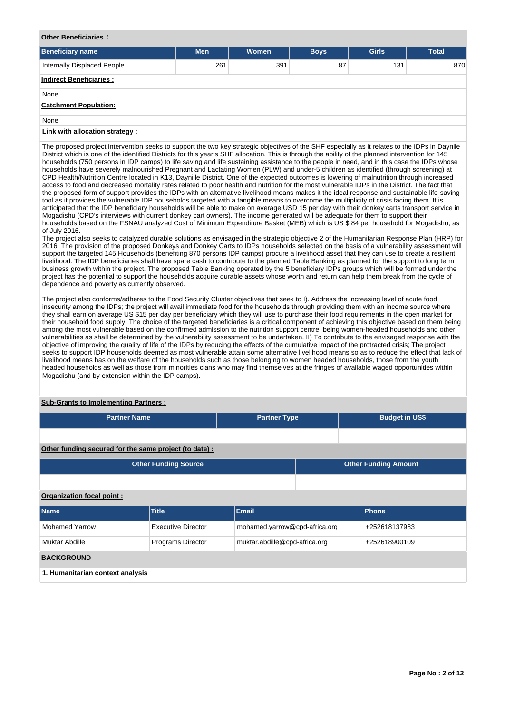### **Other Beneficiaries :**

| <b>Beneficiary name</b>        | <b>Men</b> | Women | <b>Boys</b> | <b>Girls</b> | <b>Total</b> |
|--------------------------------|------------|-------|-------------|--------------|--------------|
| Internally Displaced People    | 261        | 391   | 87          | 131          | 870          |
| <b>Indirect Beneficiaries:</b> |            |       |             |              |              |
| None                           |            |       |             |              |              |
| <b>Catchment Population:</b>   |            |       |             |              |              |
| None                           |            |       |             |              |              |
| Link with allocation strategy: |            |       |             |              |              |

The proposed project intervention seeks to support the two key strategic objectives of the SHF especially as it relates to the IDPs in Daynile District which is one of the identified Districts for this year's SHF allocation. This is through the ability of the planned intervention for 145 households (750 persons in IDP camps) to life saving and life sustaining assistance to the people in need, and in this case the IDPs whose households have severely malnourished Pregnant and Lactating Women (PLW) and under-5 children as identified (through screening) at CPD Health/Nutrition Centre located in K13, Dayniile District. One of the expected outcomes is lowering of malnutrition through increased access to food and decreased mortality rates related to poor health and nutrition for the most vulnerable IDPs in the District. The fact that the proposed form of support provides the IDPs with an alternative livelihood means makes it the ideal response and sustainable life-saving tool as it provides the vulnerable IDP households targeted with a tangible means to overcome the multiplicity of crisis facing them. It is anticipated that the IDP beneficiary households will be able to make on average USD 15 per day with their donkey carts transport service in Mogadishu (CPD's interviews with current donkey cart owners). The income generated will be adequate for them to support their households based on the FSNAU analyzed Cost of Minimum Expenditure Basket (MEB) which is US \$ 84 per household for Mogadishu, as of July 2016.

The project also seeks to catalyzed durable solutions as envisaged in the strategic objective 2 of the Humanitarian Response Plan (HRP) for 2016. The provision of the proposed Donkeys and Donkey Carts to IDPs households selected on the basis of a vulnerability assessment will support the targeted 145 Households (benefiting 870 persons IDP camps) procure a livelihood asset that they can use to create a resilient livelihood. The IDP beneficiaries shall have spare cash to contribute to the planned Table Banking as planned for the support to long term business growth within the project. The proposed Table Banking operated by the 5 beneficiary IDPs groups which will be formed under the project has the potential to support the households acquire durable assets whose worth and return can help them break from the cycle of dependence and poverty as currently observed.

The project also conforms/adheres to the Food Security Cluster objectives that seek to I). Address the increasing level of acute food insecurity among the IDPs; the project will avail immediate food for the households through providing them with an income source where they shall earn on average US \$15 per day per beneficiary which they will use to purchase their food requirements in the open market for their household food supply. The choice of the targeted beneficiaries is a critical component of achieving this objective based on them being among the most vulnerable based on the confirmed admission to the nutrition support centre, being women-headed households and other vulnerabilities as shall be determined by the vulnerability assessment to be undertaken. II) To contribute to the envisaged response with the objective of improving the quality of life of the IDPs by reducing the effects of the cumulative impact of the protracted crisis; The project seeks to support IDP households deemed as most vulnerable attain some alternative livelihood means so as to reduce the effect that lack of livelihood means has on the welfare of the households such as those belonging to women headed households, those from the youth headed households as well as those from minorities clans who may find themselves at the fringes of available waged opportunities within Mogadishu (and by extension within the IDP camps).

### **Sub-Grants to Implementing Partners :**

| <b>Partner Name</b>                                   | <b>Partner Type</b> | <b>Budget in US\$</b> |
|-------------------------------------------------------|---------------------|-----------------------|
|                                                       |                     |                       |
| Other funding convention the come use iset (to dota). |                     |                       |

**Other funding secured for the same project (to date) :**

| <b>Other Funding Source</b> | <b>Other Funding Amount</b> |
|-----------------------------|-----------------------------|
|                             |                             |

## **Organization focal point :**

| <b>Name</b>                      | <b>Title</b>              | Email                         | Phone         |
|----------------------------------|---------------------------|-------------------------------|---------------|
| <b>Mohamed Yarrow</b>            | <b>Executive Director</b> | mohamed.yarrow@cpd-africa.org | +252618137983 |
| Muktar Abdille                   | <b>Programs Director</b>  | muktar.abdille@cpd-africa.org | +252618900109 |
| <b>BACKGROUND</b>                |                           |                               |               |
| 1. Humanitarian context analysis |                           |                               |               |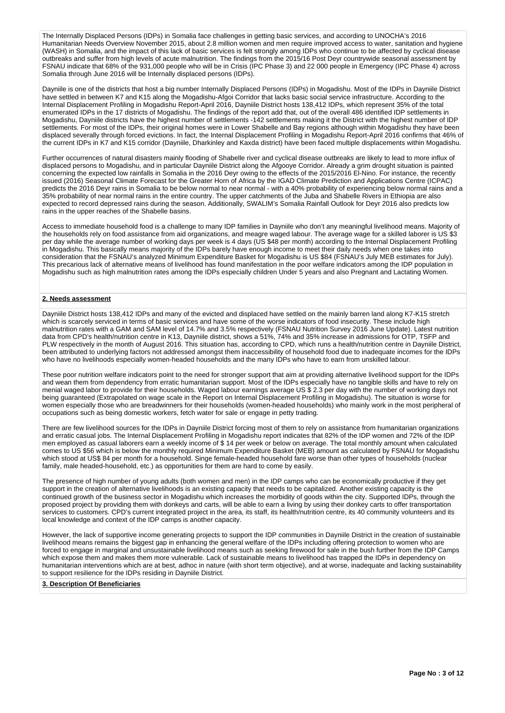The Internally Displaced Persons (IDPs) in Somalia face challenges in getting basic services, and according to UNOCHA's 2016 Humanitarian Needs Overview November 2015, about 2.8 million women and men require improved access to water, sanitation and hygiene (WASH) in Somalia, and the impact of this lack of basic services is felt strongly among IDPs who continue to be affected by cyclical disease outbreaks and suffer from high levels of acute malnutrition. The findings from the 2015/16 Post Deyr countrywide seasonal assessment by FSNAU indicate that 68% of the 931,000 people who will be in Crisis (IPC Phase 3) and 22 000 people in Emergency (IPC Phase 4) across Somalia through June 2016 will be Internally displaced persons (IDPs).

Dayniile is one of the districts that host a big number Internally Displaced Persons (IDPs) in Mogadishu. Most of the IDPs in Dayniile District have settled in between K7 and K15 along the Mogadishu-Afgoi Corridor that lacks basic social service infrastructure. According to the Internal Displacement Profiling in Mogadishu Report-April 2016, Dayniile District hosts 138,412 IDPs, which represent 35% of the total enumerated IDPs in the 17 districts of Mogadishu. The findings of the report add that, out of the overall 486 identified IDP settlements in Mogadishu, Dayniile districts have the highest number of settlements -142 settlements making it the District with the highest number of IDP settlements. For most of the IDPs, their original homes were in Lower Shabelle and Bay regions although within Mogadishu they have been displaced severally through forced evictions. In fact, the Internal Displacement Profiling in Mogadishu Report-April 2016 confirms that 46% of the current IDPs in K7 and K15 corridor (Dayniile, Dharkinley and Kaxda district) have been faced multiple displacements within Mogadishu.

Further occurrences of natural disasters mainly flooding of Shabelle river and cyclical disease outbreaks are likely to lead to more influx of displaced persons to Mogadishu, and in particular Dayniile District along the Afgooye Corridor. Already a grim drought situation is painted concerning the expected low rainfalls in Somalia in the 2016 Deyr owing to the effects of the 2015/2016 El-Nino. For instance, the recently issued (2016) Seasonal Climate Forecast for the Greater Horn of Africa by the IGAD Climate Prediction and Applications Centre (ICPAC) predicts the 2016 Deyr rains in Somalia to be below normal to near normal - with a 40% probability of experiencing below normal rains and a 35% probability of near normal rains in the entire country. The upper catchments of the Juba and Shabelle Rivers in Ethiopia are also expected to record depressed rains during the season. Additionally, SWALIM's Somalia Rainfall Outlook for Deyr 2016 also predicts low rains in the upper reaches of the Shabelle basins.

Access to immediate household food is a challenge to many IDP families in Dayniile who don't any meaningful livelihood means. Majority of the households rely on food assistance from aid organizations, and meagre waged labour. The average wage for a skilled laborer is US \$3 per day while the average number of working days per week is 4 days (US \$48 per month) according to the Internal Displacement Profiling in Mogadishu. This basically means majority of the IDPs barely have enough income to meet their daily needs when one takes into consideration that the FSNAU's analyzed Minimum Expenditure Basket for Mogadishu is US \$84 (FSNAU's July MEB estimates for July). This precarious lack of alternative means of livelihood has found manifestation in the poor welfare indicators among the IDP population in Mogadishu such as high malnutrition rates among the IDPs especially children Under 5 years and also Pregnant and Lactating Women.

## **2. Needs assessment**

Dayniile District hosts 138,412 IDPs and many of the evicted and displaced have settled on the mainly barren land along K7-K15 stretch which is scarcely serviced in terms of basic services and have some of the worse indicators of food insecurity. These include high malnutrition rates with a GAM and SAM level of 14.7% and 3.5% respectively (FSNAU Nutrition Survey 2016 June Update). Latest nutrition data from CPD's health/nutrition centre in K13, Dayniile district, shows a 51%, 74% and 35% increase in admissions for OTP, TSFP and PLW respectively in the month of August 2016. This situation has, according to CPD, which runs a health/nutrition centre in Dayniile District, been attributed to underlying factors not addressed amongst them inaccessibility of household food due to inadequate incomes for the IDPs who have no livelihoods especially women-headed households and the many IDPs who have to earn from unskilled labour.

These poor nutrition welfare indicators point to the need for stronger support that aim at providing alternative livelihood support for the IDPs and wean them from dependency from erratic humanitarian support. Most of the IDPs especially have no tangible skills and have to rely on menial waged labor to provide for their households. Waged labour earnings average US \$ 2.3 per day with the number of working days not being guaranteed (Extrapolated on wage scale in the Report on Internal Displacement Profiling in Mogadishu). The situation is worse for women especially those who are breadwinners for their households (women-headed households) who mainly work in the most peripheral of occupations such as being domestic workers, fetch water for sale or engage in petty trading.

There are few livelihood sources for the IDPs in Dayniile District forcing most of them to rely on assistance from humanitarian organizations and erratic casual jobs. The Internal Displacement Profiling in Mogadishu report indicates that 82% of the IDP women and 72% of the IDP men employed as casual laborers earn a weekly income of \$ 14 per week or below on average. The total monthly amount when calculated comes to US \$56 which is below the monthly required Minimum Expenditure Basket (MEB) amount as calculated by FSNAU for Mogadishu which stood at US\$ 84 per month for a household. Singe female-headed household fare worse than other types of households (nuclear family, male headed-household, etc.) as opportunities for them are hard to come by easily.

The presence of high number of young adults (both women and men) in the IDP camps who can be economically productive if they get support in the creation of alternative livelihoods is an existing capacity that needs to be capitalized. Another existing capacity is the continued growth of the business sector in Mogadishu which increases the morbidity of goods within the city. Supported IDPs, through the proposed project by providing them with donkeys and carts, will be able to earn a living by using their donkey carts to offer transportation services to customers. CPD's current integrated project in the area, its staff, its health/nutrition centre, its 40 community volunteers and its local knowledge and context of the IDP camps is another capacity.

However, the lack of supportive income generating projects to support the IDP communities in Dayniile District in the creation of sustainable livelihood means remains the biggest gap in enhancing the general welfare of the IDPs including offering protection to women who are forced to engage in marginal and unsustainable livelihood means such as seeking firewood for sale in the bush further from the IDP Camps which expose them and makes them more vulnerable. Lack of sustainable means to livelihood has trapped the IDPs in dependency on humanitarian interventions which are at best, adhoc in nature (with short term objective), and at worse, inadequate and lacking sustainability to support resilience for the IDPs residing in Dayniile District.

## **3. Description Of Beneficiaries**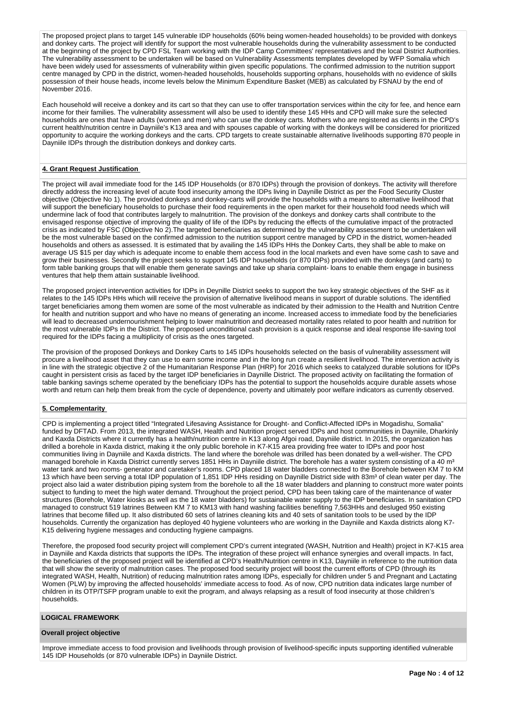The proposed project plans to target 145 vulnerable IDP households (60% being women-headed households) to be provided with donkeys and donkey carts. The project will identify for support the most vulnerable households during the vulnerability assessment to be conducted at the beginning of the project by CPD FSL Team working with the IDP Camp Committees' representatives and the local District Authorities. The vulnerability assessment to be undertaken will be based on Vulnerability Assessments templates developed by WFP Somalia which have been widely used for assessments of vulnerability within given specific populations. The confirmed admission to the nutrition support centre managed by CPD in the district, women-headed households, households supporting orphans, households with no evidence of skills possession of their house heads, income levels below the Minimum Expenditure Basket (MEB) as calculated by FSNAU by the end of November 2016.

Each household will receive a donkey and its cart so that they can use to offer transportation services within the city for fee, and hence earn income for their families. The vulnerability assessment will also be used to identify these 145 HHs and CPD will make sure the selected households are ones that have adults (women and men) who can use the donkey carts. Mothers who are registered as clients in the CPD's current health/nutrition centre in Dayniile's K13 area and with spouses capable of working with the donkeys will be considered for prioritized opportunity to acquire the working donkeys and the carts. CPD targets to create sustainable alternative livelihoods supporting 870 people in Dayniile IDPs through the distribution donkeys and donkey carts.

## **4. Grant Request Justification**

The project will avail immediate food for the 145 IDP Households (or 870 IDPs) through the provision of donkeys. The activity will therefore directly address the increasing level of acute food insecurity among the IDPs living in Daynille District as per the Food Security Cluster objective (Objective No 1). The provided donkeys and donkey-carts will provide the households with a means to alternative livelihood that will support the beneficiary households to purchase their food requirements in the open market for their household food needs which will undermine lack of food that contributes largely to malnutrition. The provision of the donkeys and donkey carts shall contribute to the envisaged response objective of improving the quality of life of the IDPs by reducing the effects of the cumulative impact of the protracted crisis as indicated by FSC (Objective No 2).The targeted beneficiaries as determined by the vulnerability assessment to be undertaken will be the most vulnerable based on the confirmed admission to the nutrition support centre managed by CPD in the district, women-headed households and others as assessed. It is estimated that by availing the 145 IDPs HHs the Donkey Carts, they shall be able to make on average US \$15 per day which is adequate income to enable them access food in the local markets and even have some cash to save and grow their businesses. Secondly the project seeks to support 145 IDP households (or 870 IDPs) provided with the donkeys (and carts) to form table banking groups that will enable them generate savings and take up sharia complaint- loans to enable them engage in business ventures that help them attain sustainable livelihood.

The proposed project intervention activities for IDPs in Deynille District seeks to support the two key strategic objectives of the SHF as it relates to the 145 IDPs HHs which will receive the provision of alternative livelihood means in support of durable solutions. The identified target beneficiaries among them women are some of the most vulnerable as indicated by their admission to the Health and Nutrition Centre for health and nutrition support and who have no means of generating an income. Increased access to immediate food by the beneficiaries will lead to decreased undernourishment helping to lower malnutrition and decreased mortality rates related to poor health and nutrition for the most vulnerable IDPs in the District. The proposed unconditional cash provision is a quick response and ideal response life-saving tool required for the IDPs facing a multiplicity of crisis as the ones targeted.

The provision of the proposed Donkeys and Donkey Carts to 145 IDPs households selected on the basis of vulnerability assessment will procure a livelihood asset that they can use to earn some income and in the long run create a resilient livelihood. The intervention activity is in line with the strategic objective 2 of the Humanitarian Response Plan (HRP) for 2016 which seeks to catalyzed durable solutions for IDPs caught in persistent crisis as faced by the target IDP beneficiaries in Daynille District. The proposed activity on facilitating the formation of table banking savings scheme operated by the beneficiary IDPs has the potential to support the households acquire durable assets whose worth and return can help them break from the cycle of dependence, poverty and ultimately poor welfare indicators as currently observed.

## **5. Complementarity**

CPD is implementing a project titled "Integrated Lifesaving Assistance for Drought- and Conflict-Affected IDPs in Mogadishu, Somalia" funded by DFTAD. From 2013, the integrated WASH, Health and Nutrition project served IDPs and host communities in Dayniile, Dharkinly and Kaxda Districts where it currently has a health/nutrition centre in K13 along Afgoi road, Dayniile district. In 2015, the organization has drilled a borehole in Kaxda district, making it the only public borehole in K7-K15 area providing free water to IDPs and poor host communities living in Dayniile and Kaxda districts. The land where the borehole was drilled has been donated by a well-wisher. The CPD managed borehole in Kaxda District currently serves 1851 HHs in Dayniile district. The borehole has a water system consisting of a 40 m<sup>3</sup> water tank and two rooms- generator and caretaker's rooms. CPD placed 18 water bladders connected to the Borehole between KM 7 to KM 13 which have been serving a total IDP population of 1,851 IDP HHs residing on Daynille District side with 83m<sup>3</sup> of clean water per day. The project also laid a water distribution piping system from the borehole to all the 18 water bladders and planning to construct more water points subject to funding to meet the high water demand. Throughout the project period, CPD has been taking care of the maintenance of water structures (Borehole, Water kiosks as well as the 18 water bladders) for sustainable water supply to the IDP beneficiaries. In sanitation CPD managed to construct 519 latrines Between KM 7 to KM13 with hand washing facilities benefiting 7,563HHs and desluged 950 existing latrines that become filled up. It also distributed 60 sets of latrines cleaning kits and 40 sets of sanitation tools to be used by the IDP households. Currently the organization has deployed 40 hygiene volunteers who are working in the Dayniile and Kaxda districts along K7- K15 delivering hygiene messages and conducting hygiene campaigns.

Therefore, the proposed food security project will complement CPD's current integrated (WASH, Nutrition and Health) project in K7-K15 area in Dayniile and Kaxda districts that supports the IDPs. The integration of these project will enhance synergies and overall impacts. In fact, the beneficiaries of the proposed project will be identified at CPD's Health/Nutrition centre in K13, Dayniile in reference to the nutrition data that will show the severity of malnutrition cases. The proposed food security project will boost the current efforts of CPD (through its integrated WASH, Health, Nutrition) of reducing malnutrition rates among IDPs, especially for children under 5 and Pregnant and Lactating Women (PLW) by improving the affected households' immediate access to food. As of now, CPD nutrition data indicates large number of children in its OTP/TSFP program unable to exit the program, and always relapsing as a result of food insecurity at those children's households.

## **LOGICAL FRAMEWORK**

## **Overall project objective**

Improve immediate access to food provision and livelihoods through provision of livelihood-specific inputs supporting identified vulnerable 145 IDP Households (or 870 vulnerable IDPs) in Dayniile District.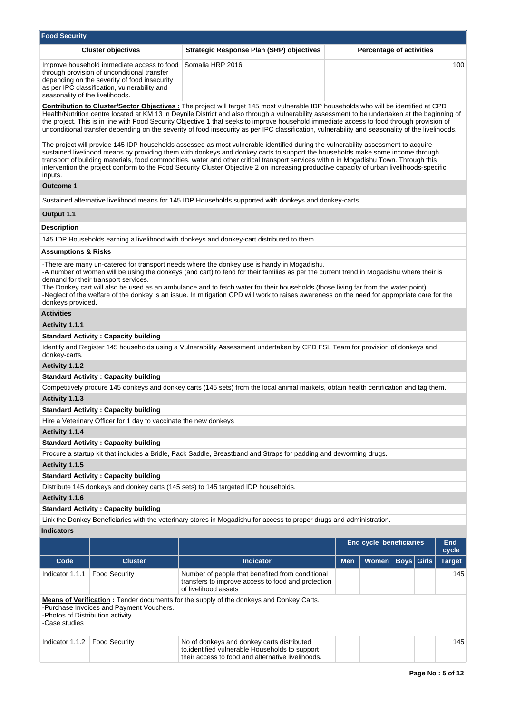| <b>Food Security</b>                                                                                                                                                                                                                                                                                                                                                                                                                                                                                                                                                                         |                                                                                                                                                                                           |                                                                                                                                                                                                                                                                                                                                                                                                                                                                                                                            |            |                         |                                 |                     |  |  |  |  |  |
|----------------------------------------------------------------------------------------------------------------------------------------------------------------------------------------------------------------------------------------------------------------------------------------------------------------------------------------------------------------------------------------------------------------------------------------------------------------------------------------------------------------------------------------------------------------------------------------------|-------------------------------------------------------------------------------------------------------------------------------------------------------------------------------------------|----------------------------------------------------------------------------------------------------------------------------------------------------------------------------------------------------------------------------------------------------------------------------------------------------------------------------------------------------------------------------------------------------------------------------------------------------------------------------------------------------------------------------|------------|-------------------------|---------------------------------|---------------------|--|--|--|--|--|
|                                                                                                                                                                                                                                                                                                                                                                                                                                                                                                                                                                                              | <b>Cluster objectives</b>                                                                                                                                                                 | <b>Strategic Response Plan (SRP) objectives</b>                                                                                                                                                                                                                                                                                                                                                                                                                                                                            |            |                         | <b>Percentage of activities</b> |                     |  |  |  |  |  |
| seasonality of the livelihoods.                                                                                                                                                                                                                                                                                                                                                                                                                                                                                                                                                              | Improve household immediate access to food<br>through provision of unconditional transfer<br>depending on the severity of food insecurity<br>as per IPC classification, vulnerability and | Somalia HRP 2016                                                                                                                                                                                                                                                                                                                                                                                                                                                                                                           |            |                         |                                 |                     |  |  |  |  |  |
| <b>Contribution to Cluster/Sector Objectives:</b> The project will target 145 most vulnerable IDP households who will be identified at CPD<br>Health/Nutrition centre located at KM 13 in Deynile District and also through a vulnerability assessment to be undertaken at the beginning of<br>the project. This is in line with Food Security Objective 1 that seeks to improve household immediate access to food through provision of<br>unconditional transfer depending on the severity of food insecurity as per IPC classification, vulnerability and seasonality of the livelihoods. |                                                                                                                                                                                           |                                                                                                                                                                                                                                                                                                                                                                                                                                                                                                                            |            |                         |                                 |                     |  |  |  |  |  |
| The project will provide 145 IDP households assessed as most vulnerable identified during the vulnerability assessment to acquire<br>sustained livelihood means by providing them with donkeys and donkey carts to support the households make some income through<br>transport of building materials, food commodities, water and other critical transport services within in Mogadishu Town. Through this<br>intervention the project conform to the Food Security Cluster Objective 2 on increasing productive capacity of urban livelihoods-specific<br>inputs.                          |                                                                                                                                                                                           |                                                                                                                                                                                                                                                                                                                                                                                                                                                                                                                            |            |                         |                                 |                     |  |  |  |  |  |
| Outcome 1                                                                                                                                                                                                                                                                                                                                                                                                                                                                                                                                                                                    |                                                                                                                                                                                           |                                                                                                                                                                                                                                                                                                                                                                                                                                                                                                                            |            |                         |                                 |                     |  |  |  |  |  |
|                                                                                                                                                                                                                                                                                                                                                                                                                                                                                                                                                                                              |                                                                                                                                                                                           | Sustained alternative livelihood means for 145 IDP Households supported with donkeys and donkey-carts.                                                                                                                                                                                                                                                                                                                                                                                                                     |            |                         |                                 |                     |  |  |  |  |  |
| Output 1.1                                                                                                                                                                                                                                                                                                                                                                                                                                                                                                                                                                                   |                                                                                                                                                                                           |                                                                                                                                                                                                                                                                                                                                                                                                                                                                                                                            |            |                         |                                 |                     |  |  |  |  |  |
| Description                                                                                                                                                                                                                                                                                                                                                                                                                                                                                                                                                                                  |                                                                                                                                                                                           |                                                                                                                                                                                                                                                                                                                                                                                                                                                                                                                            |            |                         |                                 |                     |  |  |  |  |  |
|                                                                                                                                                                                                                                                                                                                                                                                                                                                                                                                                                                                              |                                                                                                                                                                                           | 145 IDP Households earning a livelihood with donkeys and donkey-cart distributed to them.                                                                                                                                                                                                                                                                                                                                                                                                                                  |            |                         |                                 |                     |  |  |  |  |  |
| <b>Assumptions &amp; Risks</b>                                                                                                                                                                                                                                                                                                                                                                                                                                                                                                                                                               |                                                                                                                                                                                           |                                                                                                                                                                                                                                                                                                                                                                                                                                                                                                                            |            |                         |                                 |                     |  |  |  |  |  |
| donkeys provided.                                                                                                                                                                                                                                                                                                                                                                                                                                                                                                                                                                            | demand for their transport services.                                                                                                                                                      | -There are many un-catered for transport needs where the donkey use is handy in Mogadishu.<br>-A number of women will be using the donkeys (and cart) to fend for their families as per the current trend in Mogadishu where their is<br>The Donkey cart will also be used as an ambulance and to fetch water for their households (those living far from the water point).<br>-Neglect of the welfare of the donkey is an issue. In mitigation CPD will work to raises awareness on the need for appropriate care for the |            |                         |                                 |                     |  |  |  |  |  |
| <b>Activities</b>                                                                                                                                                                                                                                                                                                                                                                                                                                                                                                                                                                            |                                                                                                                                                                                           |                                                                                                                                                                                                                                                                                                                                                                                                                                                                                                                            |            |                         |                                 |                     |  |  |  |  |  |
| Activity 1.1.1                                                                                                                                                                                                                                                                                                                                                                                                                                                                                                                                                                               |                                                                                                                                                                                           |                                                                                                                                                                                                                                                                                                                                                                                                                                                                                                                            |            |                         |                                 |                     |  |  |  |  |  |
|                                                                                                                                                                                                                                                                                                                                                                                                                                                                                                                                                                                              | <b>Standard Activity: Capacity building</b>                                                                                                                                               |                                                                                                                                                                                                                                                                                                                                                                                                                                                                                                                            |            |                         |                                 |                     |  |  |  |  |  |
| donkey-carts.                                                                                                                                                                                                                                                                                                                                                                                                                                                                                                                                                                                |                                                                                                                                                                                           | Identify and Register 145 households using a Vulnerability Assessment undertaken by CPD FSL Team for provision of donkeys and                                                                                                                                                                                                                                                                                                                                                                                              |            |                         |                                 |                     |  |  |  |  |  |
| Activity 1.1.2                                                                                                                                                                                                                                                                                                                                                                                                                                                                                                                                                                               |                                                                                                                                                                                           |                                                                                                                                                                                                                                                                                                                                                                                                                                                                                                                            |            |                         |                                 |                     |  |  |  |  |  |
|                                                                                                                                                                                                                                                                                                                                                                                                                                                                                                                                                                                              | <b>Standard Activity: Capacity building</b>                                                                                                                                               |                                                                                                                                                                                                                                                                                                                                                                                                                                                                                                                            |            |                         |                                 |                     |  |  |  |  |  |
|                                                                                                                                                                                                                                                                                                                                                                                                                                                                                                                                                                                              |                                                                                                                                                                                           | Competitively procure 145 donkeys and donkey carts (145 sets) from the local animal markets, obtain health certification and tag them.                                                                                                                                                                                                                                                                                                                                                                                     |            |                         |                                 |                     |  |  |  |  |  |
| Activity 1.1.3                                                                                                                                                                                                                                                                                                                                                                                                                                                                                                                                                                               |                                                                                                                                                                                           |                                                                                                                                                                                                                                                                                                                                                                                                                                                                                                                            |            |                         |                                 |                     |  |  |  |  |  |
|                                                                                                                                                                                                                                                                                                                                                                                                                                                                                                                                                                                              | <b>Standard Activity: Capacity building</b>                                                                                                                                               |                                                                                                                                                                                                                                                                                                                                                                                                                                                                                                                            |            |                         |                                 |                     |  |  |  |  |  |
| Activity 1.1.4                                                                                                                                                                                                                                                                                                                                                                                                                                                                                                                                                                               | Hire a Veterinary Officer for 1 day to vaccinate the new donkeys                                                                                                                          |                                                                                                                                                                                                                                                                                                                                                                                                                                                                                                                            |            |                         |                                 |                     |  |  |  |  |  |
|                                                                                                                                                                                                                                                                                                                                                                                                                                                                                                                                                                                              | <b>Standard Activity: Capacity building</b>                                                                                                                                               |                                                                                                                                                                                                                                                                                                                                                                                                                                                                                                                            |            |                         |                                 |                     |  |  |  |  |  |
|                                                                                                                                                                                                                                                                                                                                                                                                                                                                                                                                                                                              |                                                                                                                                                                                           | Procure a startup kit that includes a Bridle, Pack Saddle, Breastband and Straps for padding and deworming drugs.                                                                                                                                                                                                                                                                                                                                                                                                          |            |                         |                                 |                     |  |  |  |  |  |
| Activity 1.1.5                                                                                                                                                                                                                                                                                                                                                                                                                                                                                                                                                                               |                                                                                                                                                                                           |                                                                                                                                                                                                                                                                                                                                                                                                                                                                                                                            |            |                         |                                 |                     |  |  |  |  |  |
|                                                                                                                                                                                                                                                                                                                                                                                                                                                                                                                                                                                              | <b>Standard Activity: Capacity building</b>                                                                                                                                               |                                                                                                                                                                                                                                                                                                                                                                                                                                                                                                                            |            |                         |                                 |                     |  |  |  |  |  |
|                                                                                                                                                                                                                                                                                                                                                                                                                                                                                                                                                                                              |                                                                                                                                                                                           | Distribute 145 donkeys and donkey carts (145 sets) to 145 targeted IDP households.                                                                                                                                                                                                                                                                                                                                                                                                                                         |            |                         |                                 |                     |  |  |  |  |  |
| Activity 1.1.6                                                                                                                                                                                                                                                                                                                                                                                                                                                                                                                                                                               |                                                                                                                                                                                           |                                                                                                                                                                                                                                                                                                                                                                                                                                                                                                                            |            |                         |                                 |                     |  |  |  |  |  |
|                                                                                                                                                                                                                                                                                                                                                                                                                                                                                                                                                                                              | <b>Standard Activity: Capacity building</b>                                                                                                                                               |                                                                                                                                                                                                                                                                                                                                                                                                                                                                                                                            |            |                         |                                 |                     |  |  |  |  |  |
|                                                                                                                                                                                                                                                                                                                                                                                                                                                                                                                                                                                              |                                                                                                                                                                                           | Link the Donkey Beneficiaries with the veterinary stores in Mogadishu for access to proper drugs and administration.                                                                                                                                                                                                                                                                                                                                                                                                       |            |                         |                                 |                     |  |  |  |  |  |
| <b>Indicators</b>                                                                                                                                                                                                                                                                                                                                                                                                                                                                                                                                                                            |                                                                                                                                                                                           |                                                                                                                                                                                                                                                                                                                                                                                                                                                                                                                            |            |                         |                                 |                     |  |  |  |  |  |
|                                                                                                                                                                                                                                                                                                                                                                                                                                                                                                                                                                                              |                                                                                                                                                                                           |                                                                                                                                                                                                                                                                                                                                                                                                                                                                                                                            |            | End cycle beneficiaries |                                 | <b>End</b><br>cycle |  |  |  |  |  |
| Code                                                                                                                                                                                                                                                                                                                                                                                                                                                                                                                                                                                         | <b>Cluster</b>                                                                                                                                                                            | <b>Indicator</b>                                                                                                                                                                                                                                                                                                                                                                                                                                                                                                           | <b>Men</b> | <b>Women</b>            | Boys<br><b>Girls</b>            | <b>Target</b>       |  |  |  |  |  |
| Indicator 1.1.1                                                                                                                                                                                                                                                                                                                                                                                                                                                                                                                                                                              | <b>Food Security</b>                                                                                                                                                                      | Number of people that benefited from conditional<br>transfers to improve access to food and protection<br>of livelihood assets                                                                                                                                                                                                                                                                                                                                                                                             |            |                         |                                 | 145                 |  |  |  |  |  |
| -Photos of Distribution activity.<br>-Case studies                                                                                                                                                                                                                                                                                                                                                                                                                                                                                                                                           | -Purchase Invoices and Payment Vouchers.                                                                                                                                                  | Means of Verification: Tender documents for the supply of the donkeys and Donkey Carts.                                                                                                                                                                                                                                                                                                                                                                                                                                    |            |                         |                                 |                     |  |  |  |  |  |
| Indicator 1.1.2                                                                                                                                                                                                                                                                                                                                                                                                                                                                                                                                                                              | <b>Food Security</b>                                                                                                                                                                      | No of donkeys and donkey carts distributed<br>to.identified vulnerable Households to support<br>their access to food and alternative livelihoods.                                                                                                                                                                                                                                                                                                                                                                          |            |                         |                                 | 145                 |  |  |  |  |  |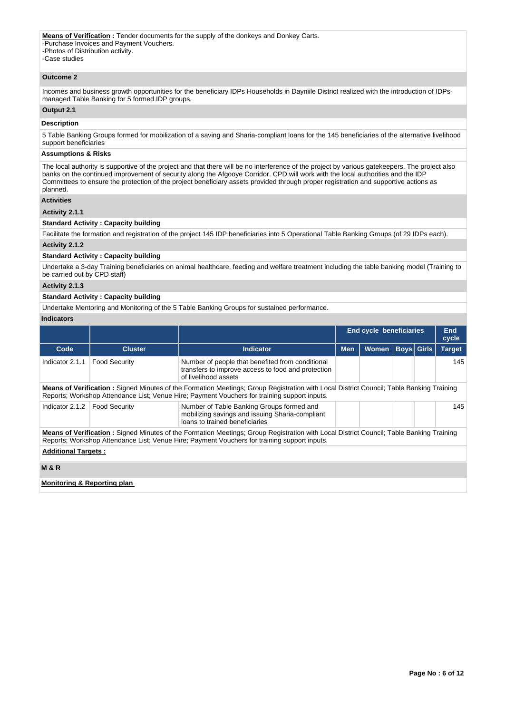**Means of Verification** : Tender documents for the supply of the donkeys and Donkey Carts. **EXAMPLE 21 FRAMPLE 1** FRAMPLE SECURITIONS -Photos of Distribution activity. -Case studies

#### **Outcome 2**

Incomes and business growth opportunities for the beneficiary IDPs Households in Dayniile District realized with the introduction of IDPsmanaged Table Banking for 5 formed IDP groups.

## **Output 2.1**

#### **Description**

5 Table Banking Groups formed for mobilization of a saving and Sharia-compliant loans for the 145 beneficiaries of the alternative livelihood support beneficiaries

### **Assumptions & Risks**

The local authority is supportive of the project and that there will be no interference of the project by various gatekeepers. The project also banks on the continued improvement of security along the Afgooye Corridor. CPD will work with the local authorities and the IDP Committees to ensure the protection of the project beneficiary assets provided through proper registration and supportive actions as planned.

## **Activities**

## **Activity 2.1.1**

#### **Standard Activity : Capacity building**

Facilitate the formation and registration of the project 145 IDP beneficiaries into 5 Operational Table Banking Groups (of 29 IDPs each).

# **Activity 2.1.2**

#### **Standard Activity : Capacity building**

Undertake a 3-day Training beneficiaries on animal healthcare, feeding and welfare treatment including the table banking model (Training to be carried out by CPD staff)

## **Activity 2.1.3**

## **Standard Activity : Capacity building**

Undertake Mentoring and Monitoring of the 5 Table Banking Groups for sustained performance.

## **Indicators**

|                                                                                                                                                                                                                                         |                      |                                                                                                                                                                                                                                         |            | <b>End cycle beneficiaries</b> |  | <b>End</b><br>cycle |               |  |
|-----------------------------------------------------------------------------------------------------------------------------------------------------------------------------------------------------------------------------------------|----------------------|-----------------------------------------------------------------------------------------------------------------------------------------------------------------------------------------------------------------------------------------|------------|--------------------------------|--|---------------------|---------------|--|
| Code                                                                                                                                                                                                                                    | <b>Cluster</b>       | Indicator                                                                                                                                                                                                                               | <b>Men</b> | <b>Women</b>                   |  | Boys  Girls         | <b>Target</b> |  |
| Indicator 2.1.1                                                                                                                                                                                                                         | <b>Food Security</b> | Number of people that benefited from conditional<br>transfers to improve access to food and protection<br>of livelihood assets                                                                                                          |            |                                |  |                     | 145           |  |
| Means of Verification: Signed Minutes of the Formation Meetings: Group Registration with Local District Council; Table Banking Training<br>Reports; Workshop Attendance List; Venue Hire; Payment Vouchers for training support inputs. |                      |                                                                                                                                                                                                                                         |            |                                |  |                     |               |  |
| Indicator 2.1.2                                                                                                                                                                                                                         | <b>Food Security</b> | Number of Table Banking Groups formed and<br>mobilizing savings and issuing Sharia-compliant<br>loans to trained beneficiaries                                                                                                          |            |                                |  |                     | 145           |  |
|                                                                                                                                                                                                                                         |                      | Means of Verification: Signed Minutes of the Formation Meetings; Group Registration with Local District Council; Table Banking Training<br>Reports; Workshop Attendance List; Venue Hire; Payment Vouchers for training support inputs. |            |                                |  |                     |               |  |
| <b>Additional Targets:</b>                                                                                                                                                                                                              |                      |                                                                                                                                                                                                                                         |            |                                |  |                     |               |  |
| <b>M&amp;R</b>                                                                                                                                                                                                                          |                      |                                                                                                                                                                                                                                         |            |                                |  |                     |               |  |
| Monitoring & Reporting plan                                                                                                                                                                                                             |                      |                                                                                                                                                                                                                                         |            |                                |  |                     |               |  |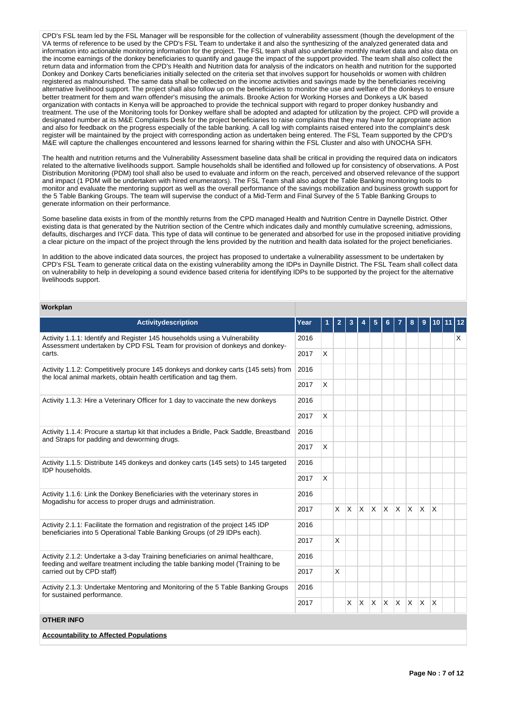CPD's FSL team led by the FSL Manager will be responsible for the collection of vulnerability assessment (though the development of the VA terms of reference to be used by the CPD's FSL Team to undertake it and also the synthesizing of the analyzed generated data and information into actionable monitoring information for the project. The FSL team shall also undertake monthly market data and also data on the income earnings of the donkey beneficiaries to quantify and gauge the impact of the support provided. The team shall also collect the return data and information from the CPD's Health and Nutrition data for analysis of the indicators on health and nutrition for the supported Donkey and Donkey Carts beneficiaries initially selected on the criteria set that involves support for households or women with children registered as malnourished. The same data shall be collected on the income activities and savings made by the beneficiaries receiving alternative livelihood support. The project shall also follow up on the beneficiaries to monitor the use and welfare of the donkeys to ensure better treatment for them and warn offender's misusing the animals. Brooke Action for Working Horses and Donkeys a UK based organization with contacts in Kenya will be approached to provide the technical support with regard to proper donkey husbandry and treatment. The use of the Monitoring tools for Donkey welfare shall be adopted and adapted for utilization by the project. CPD will provide a designated number at its M&E Complaints Desk for the project beneficiaries to raise complains that they may have for appropriate action and also for feedback on the progress especially of the table banking. A call log with complaints raised entered into the complaint's desk register will be maintained by the project with corresponding action as undertaken being entered. The FSL Team supported by the CPD's M&E will capture the challenges encountered and lessons learned for sharing within the FSL Cluster and also with UNOCHA SFH.

The health and nutrition returns and the Vulnerability Assessment baseline data shall be critical in providing the required data on indicators related to the alternative livelihoods support. Sample households shall be identified and followed up for consistency of observations. A Post Distribution Monitoring (PDM) tool shall also be used to evaluate and inform on the reach, perceived and observed relevance of the support and impact (1 PDM will be undertaken with hired enumerators). The FSL Team shall also adopt the Table Banking monitoring tools to monitor and evaluate the mentoring support as well as the overall performance of the savings mobilization and business growth support for the 5 Table Banking Groups. The team will supervise the conduct of a Mid-Term and Final Survey of the 5 Table Banking Groups to generate information on their performance.

Some baseline data exists in from of the monthly returns from the CPD managed Health and Nutrition Centre in Daynelle District. Other existing data is that generated by the Nutrition section of the Centre which indicates daily and monthly cumulative screening, admissions, defaults, discharges and IYCF data. This type of data will continue to be generated and absorbed for use in the proposed initiative providing a clear picture on the impact of the project through the lens provided by the nutrition and health data isolated for the project beneficiaries.

In addition to the above indicated data sources, the project has proposed to undertake a vulnerability assessment to be undertaken by CPD's FSL Team to generate critical data on the existing vulnerability among the IDPs in Daynille District. The FSL Team shall collect data on vulnerability to help in developing a sound evidence based criteria for identifying IDPs to be supported by the project for the alternative livelihoods support.

## **Workplan**

| <b>Activitydescription</b>                                                                                                                                        | Year | Ó | $\overline{2}$ | 3              | 4            | 5        | 6        |              | 8            | $\overline{9}$ |              | $10$ 11 12 |   |
|-------------------------------------------------------------------------------------------------------------------------------------------------------------------|------|---|----------------|----------------|--------------|----------|----------|--------------|--------------|----------------|--------------|------------|---|
| Activity 1.1.1: Identify and Register 145 households using a Vulnerability<br>Assessment undertaken by CPD FSL Team for provision of donkeys and donkey-          | 2016 |   |                |                |              |          |          |              |              |                |              |            | X |
| carts.                                                                                                                                                            | 2017 | X |                |                |              |          |          |              |              |                |              |            |   |
| Activity 1.1.2: Competitively procure 145 donkeys and donkey carts (145 sets) from<br>the local animal markets, obtain health certification and tag them.         | 2016 |   |                |                |              |          |          |              |              |                |              |            |   |
|                                                                                                                                                                   | 2017 | X |                |                |              |          |          |              |              |                |              |            |   |
| Activity 1.1.3: Hire a Veterinary Officer for 1 day to vaccinate the new donkeys                                                                                  |      |   |                |                |              |          |          |              |              |                |              |            |   |
|                                                                                                                                                                   | 2017 | X |                |                |              |          |          |              |              |                |              |            |   |
| Activity 1.1.4: Procure a startup kit that includes a Bridle, Pack Saddle, Breastband<br>and Straps for padding and deworming drugs.                              | 2016 |   |                |                |              |          |          |              |              |                |              |            |   |
|                                                                                                                                                                   | 2017 | X |                |                |              |          |          |              |              |                |              |            |   |
| Activity 1.1.5: Distribute 145 donkeys and donkey carts (145 sets) to 145 targeted<br>IDP households.                                                             | 2016 |   |                |                |              |          |          |              |              |                |              |            |   |
|                                                                                                                                                                   | 2017 | X |                |                |              |          |          |              |              |                |              |            |   |
| Activity 1.1.6: Link the Donkey Beneficiaries with the veterinary stores in<br>Mogadishu for access to proper drugs and administration.                           | 2016 |   |                |                |              |          |          |              |              |                |              |            |   |
|                                                                                                                                                                   | 2017 |   |                | $x \mathsf{X}$ | $\mathsf{X}$ | <b>X</b> | <b>X</b> | $\mathsf{X}$ | $\mathsf{X}$ | <b>X</b>       | $\mathsf{X}$ |            |   |
| Activity 2.1.1: Facilitate the formation and registration of the project 145 IDP<br>beneficiaries into 5 Operational Table Banking Groups (of 29 IDPs each).      | 2016 |   |                |                |              |          |          |              |              |                |              |            |   |
|                                                                                                                                                                   | 2017 |   | X              |                |              |          |          |              |              |                |              |            |   |
| Activity 2.1.2: Undertake a 3-day Training beneficiaries on animal healthcare,<br>feeding and welfare treatment including the table banking model (Training to be | 2016 |   |                |                |              |          |          |              |              |                |              |            |   |
| carried out by CPD staff)                                                                                                                                         | 2017 |   | X              |                |              |          |          |              |              |                |              |            |   |
| Activity 2.1.3: Undertake Mentoring and Monitoring of the 5 Table Banking Groups<br>for sustained performance.                                                    | 2016 |   |                |                |              |          |          |              |              |                |              |            |   |
|                                                                                                                                                                   | 2017 |   |                | X              | $\mathsf{X}$ | X.       | IX.      | $X$ $X$ $X$  |              |                | ΙX.          |            |   |
| <b>OTHER INFO</b>                                                                                                                                                 |      |   |                |                |              |          |          |              |              |                |              |            |   |
| <b>Accountability to Affected Populations</b>                                                                                                                     |      |   |                |                |              |          |          |              |              |                |              |            |   |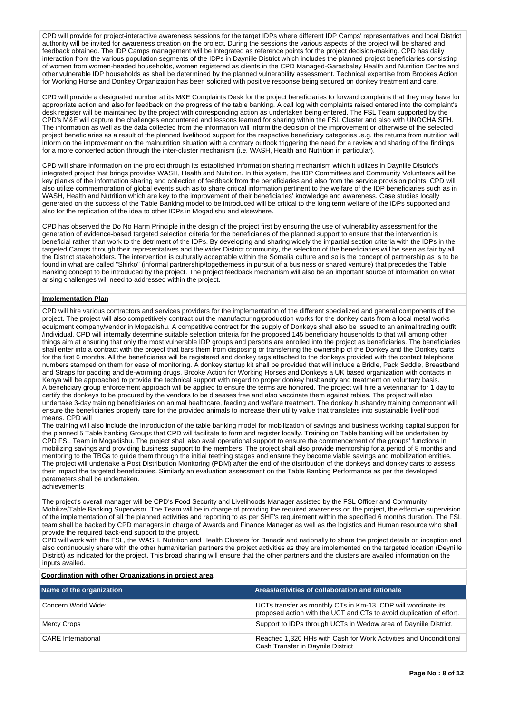CPD will provide for project-interactive awareness sessions for the target IDPs where different IDP Camps' representatives and local District authority will be invited for awareness creation on the project. During the sessions the various aspects of the project will be shared and feedback obtained. The IDP Camps management will be integrated as reference points for the project decision-making. CPD has daily interaction from the various population segments of the IDPs in Dayniile District which includes the planned project beneficiaries consisting of women from women-headed households, women registered as clients in the CPD Managed-Garasbaley Health and Nutrition Centre and other vulnerable IDP households as shall be determined by the planned vulnerability assessment. Technical expertise from Brookes Action for Working Horse and Donkey Organization has been solicited with positive response being secured on donkey treatment and care.

CPD will provide a designated number at its M&E Complaints Desk for the project beneficiaries to forward complains that they may have for appropriate action and also for feedback on the progress of the table banking. A call log with complaints raised entered into the complaint's desk register will be maintained by the project with corresponding action as undertaken being entered. The FSL Team supported by the CPD's M&E will capture the challenges encountered and lessons learned for sharing within the FSL Cluster and also with UNOCHA SFH. The information as well as the data collected from the information will inform the decision of the improvement or otherwise of the selected project beneficiaries as a result of the planned livelihood support for the respective beneficiary categories .e.g. the returns from nutrition will inform on the improvement on the malnutrition situation with a contrary outlook triggering the need for a review and sharing of the findings for a more concerted action through the inter-cluster mechanism (i.e. WASH, Health and Nutrition in particular).

CPD will share information on the project through its established information sharing mechanism which it utilizes in Dayniile District's integrated project that brings provides WASH, Health and Nutrition. In this system, the IDP Committees and Community Volunteers will be key planks of the information sharing and collection of feedback from the beneficiaries and also from the service provision points. CPD will also utilize commemoration of global events such as to share critical information pertinent to the welfare of the IDP beneficiaries such as in WASH, Health and Nutrition which are key to the improvement of their beneficiaries' knowledge and awareness. Case studies locally generated on the success of the Table Banking model to be introduced will be critical to the long term welfare of the IDPs supported and also for the replication of the idea to other IDPs in Mogadishu and elsewhere.

CPD has observed the Do No Harm Principle in the design of the project first by ensuring the use of vulnerability assessment for the generation of evidence-based targeted selection criteria for the beneficiaries of the planned support to ensure that the intervention is beneficial rather than work to the detriment of the IDPs. By developing and sharing widely the impartial section criteria with the IDPs in the targeted Camps through their representatives and the wider District community, the selection of the beneficiaries will be seen as fair by all the District stakeholders. The intervention is culturally acceptable within the Somalia culture and so is the concept of partnership as is to be found in what are called "Shirko" (informal partnership/togetherness in pursuit of a business or shared venture) that precedes the Table Banking concept to be introduced by the project. The project feedback mechanism will also be an important source of information on what arising challenges will need to addressed within the project.

## **Implementation Plan**

CPD will hire various contractors and services providers for the implementation of the different specialized and general components of the project. The project will also competitively contract out the manufacturing/production works for the donkey carts from a local metal works equipment company/vendor in Mogadishu. A competitive contract for the supply of Donkeys shall also be issued to an animal trading outfit /individual. CPD will internally determine suitable selection criteria for the proposed 145 beneficiary households to that will among other things aim at ensuring that only the most vulnerable IDP groups and persons are enrolled into the project as beneficiaries. The beneficiaries shall enter into a contract with the project that bars them from disposing or transferring the ownership of the Donkey and the Donkey carts for the first 6 months. All the beneficiaries will be registered and donkey tags attached to the donkeys provided with the contact telephone numbers stamped on them for ease of monitoring. A donkey startup kit shall be provided that will include a Bridle, Pack Saddle, Breastband and Straps for padding and de-worming drugs. Brooke Action for Working Horses and Donkeys a UK based organization with contacts in Kenya will be approached to provide the technical support with regard to proper donkey husbandry and treatment on voluntary basis. A beneficiary group enforcement approach will be applied to ensure the terms are honored. The project will hire a veterinarian for 1 day to certify the donkeys to be procured by the vendors to be diseases free and also vaccinate them against rabies. The project will also undertake 3-day training beneficiaries on animal healthcare, feeding and welfare treatment. The donkey husbandry training component will ensure the beneficiaries properly care for the provided animals to increase their utility value that translates into sustainable livelihood means. CPD will

The training will also include the introduction of the table banking model for mobilization of savings and business working capital support for the planned 5 Table banking Groups that CPD will facilitate to form and register locally. Training on Table banking will be undertaken by CPD FSL Team in Mogadishu. The project shall also avail operational support to ensure the commencement of the groups' functions in mobilizing savings and providing business support to the members. The project shall also provide mentorship for a period of 8 months and mentoring to the TBGs to guide them through the initial teething stages and ensure they become viable savings and mobilization entities. The project will undertake a Post Distribution Monitoring (PDM) after the end of the distribution of the donkeys and donkey carts to assess their impact the targeted beneficiaries. Similarly an evaluation assessment on the Table Banking Performance as per the developed parameters shall be undertaken. achievements

The project's overall manager will be CPD's Food Security and Livelihoods Manager assisted by the FSL Officer and Community Mobilize/Table Banking Supervisor. The Team will be in charge of providing the required awareness on the project, the effective supervision of the implementation of all the planned activities and reporting to as per SHF's requirement within the specified 6 months duration. The FSL team shall be backed by CPD managers in charge of Awards and Finance Manager as well as the logistics and Human resource who shall provide the required back-end support to the project.

CPD will work with the FSL, the WASH, Nutrition and Health Clusters for Banadir and nationally to share the project details on inception and also continuously share with the other humanitarian partners the project activities as they are implemented on the targeted location (Deynille District) as indicated for the project. This broad sharing will ensure that the other partners and the clusters are availed information on the inputs availed.

#### **Coordination with other Organizations in project area**

| Name of the organization  | Areas/activities of collaboration and rationale                                                                                       |
|---------------------------|---------------------------------------------------------------------------------------------------------------------------------------|
| Concern World Wide:       | UCTs transfer as monthly CTs in Km-13. CDP will wordinate its<br>proposed action with the UCT and CTs to avoid duplication of effort. |
| Mercy Crops               | Support to IDPs through UCTs in Wedow area of Daynille District.                                                                      |
| <b>CARE</b> International | Reached 1,320 HHs with Cash for Work Activities and Unconditional<br>Cash Transfer in Daynile District                                |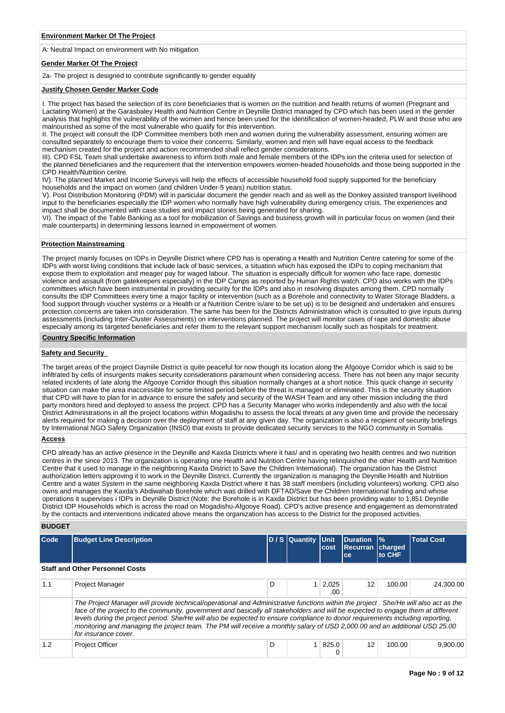A: Neutral Impact on environment with No mitigation

## **Gender Marker Of The Project**

2a- The project is designed to contribute significantly to gender equality

#### **Justify Chosen Gender Marker Code**

I. The project has based the selection of its core beneficiaries that is women on the nutrition and health returns of women (Pregnant and Lactating Women) at the Garasbaley Health and Nutrition Centre in Deynille District managed by CPD which has been used in the gender analysis that highlights the vulnerability of the women and hence been used for the identification of women-headed, PLW and those who are malnourished as some of the most vulnerable who qualify for this intervention.

II. The project will consult the IDP Committee members both men and women during the vulnerability assessment, ensuring women are consulted separately to encourage them to voice their concerns. Similarly, women and men will have equal access to the feedback mechanism created for the project and action recommended shall reflect gender considerations.

III). CPD FSL Team shall undertake awareness to inform both male and female members of the IDPs ion the criteria used for selection of the planned beneficiaries and the requirement that the intervention empowers women-headed households and those being supported in the CPD Health/Nutrition centre.

IV). The planned Market and Income Surveys will help the effects of accessible household food supply supported for the beneficiary households and the impact on women (and children Under-5 years) nutrition status.

V). Post Distribution Monitoring (PDM) will in particular document the gender reach and as well as the Donkey assisted transport livelihood input to the beneficiaries especially the IDP women who normally have high vulnerability during emergency crisis. The experiences and impact shall be documented with case studies and impact stories being generated for sharing.

VI). The impact of the Table Banking as a tool for mobilization of Savings and business growth will in particular focus on women (and their male counterparts) in determining lessons learned in empowerment of women.

## **Protection Mainstreaming**

The project mainly focuses on IDPs in Deynille District where CPD has is operating a Health and Nutrition Centre catering for some of the IDPs with worst living conditions that include lack of basic services, a situation which has exposed the IDPs to coping mechanism that expose them to exploitation and meager pay for waged labour. The situation is especially difficult for women who face rape, domestic violence and assault (from gatekeepers especially) in the IDP Camps as reported by Human Rights watch. CPD also works with the IDPs committees which have been instrumental in providing security for the IDPs and also in resolving disputes among them. CPD normally consults the IDP Committees every time a major facility or intervention (such as a Borehole and connectivity to Water Storage Bladders, a food support through voucher systems or a Health or a Nutrition Centre is/are to be set up) is to be designed and undertaken and ensures protection concerns are taken into consideration. The same has been for the Districts Administration which is consulted to give inputs during assessments (including Inter-Cluster Assessments) on interventions planned. The project will monitor cases of rape and domestic abuse especially among its targeted beneficiaries and refer them to the relevant support mechanism locally such as hospitals for treatment.

## **Country Specific Information**

#### **Safety and Security**

The target areas of the project Dayniile District is quite peaceful for now though its location along the Afgooye Corridor which is said to be infiltrated by cells of insurgents makes security considerations paramount when considering access. There has not been any major security related incidents of late along the Afgooye Corridor though this situation normally changes at a short notice. This quick change in security situation can make the area inaccessible for some limited period before the threat is managed or eliminated. This is the security situation that CPD will have to plan for in advance to ensure the safety and security of the WASH Team and any other mission including the third party monitors hired and deployed to assess the project. CPD has a Security Manager who works independently and also with the local District Administrations in all the project locations within Mogadishu to assess the local threats at any given time and provide the necessary alerts required for making a decision over the deployment of staff at any given day. The organization is also a recipient of security briefings by International NGO Safety Organization (INSO) that exists to provide dedicated security services to the NGO community in Somalia.

#### **Access**

CPD already has an active presence in the Deynille and Kaxda Districts where it has/ and is operating two health centres and two nutrition centres in the since 2013. The organization is operating one Health and Nutrition Centre having relinquished the other Health and Nutrition Centre that it used to manage in the neighboring Kaxda District to Save the Children International). The organization has the District authorization letters approving it to work in the Deynille District. Currently the organization is managing the Deynille Health and Nutrition Centre and a water System in the same neighboring Kaxda District where it has 38 staff members (including volunteers) working. CPD also owns and manages the Kaxda's Abdiwahab Borehole which was drilled with DFTAD/Save the Children International funding and whose operations it supervises i IDPs in Deynille District (Note: the Borehole is in Kaxda District but has been providing water to 1,851 Deynille District IDP Households which is across the road on Mogadishu-Afgooye Road). CPD's active presence and engagement as demonstrated by the contacts and interventions indicated above means the organization has access to the District for the proposed activities.

## **BUDGET**

| Code | <b>Budget Line Description</b>                                                                                                                                                                                                                                                                                                                                                                                                                                                                                                                                  |   | D / S Quantity | <b>Unit</b><br>cost | <b>IDuration</b><br><b>Recurran</b><br>ce | $\frac{9}{6}$<br><b>charged</b><br>to CHF | <b>Total Cost</b> |
|------|-----------------------------------------------------------------------------------------------------------------------------------------------------------------------------------------------------------------------------------------------------------------------------------------------------------------------------------------------------------------------------------------------------------------------------------------------------------------------------------------------------------------------------------------------------------------|---|----------------|---------------------|-------------------------------------------|-------------------------------------------|-------------------|
|      | <b>Staff and Other Personnel Costs</b>                                                                                                                                                                                                                                                                                                                                                                                                                                                                                                                          |   |                |                     |                                           |                                           |                   |
| 1.1  | <b>Project Manager</b>                                                                                                                                                                                                                                                                                                                                                                                                                                                                                                                                          | D |                | 2,025<br>.00        | $12 \overline{ }$                         | 100.00                                    | 24.300.00         |
|      | The Project Manager will provide technical/operational and Administrative functions within the project. She/He will also act as the<br>face of the project to the community, government and basically all stakeholders and will be expected to engage them at different<br>levels during the project period. She/He will also be expected to ensure compliance to donor requirements including reporting,<br>monitoring and managing the project team. The PM will receive a monthly salary of USD 2,000.00 and an additional USD 25.00<br>for insurance cover. |   |                |                     |                                           |                                           |                   |
| 1.2  | <b>Project Officer</b>                                                                                                                                                                                                                                                                                                                                                                                                                                                                                                                                          | D |                | 825.0               | 12                                        | 100.00                                    | 9.900.00          |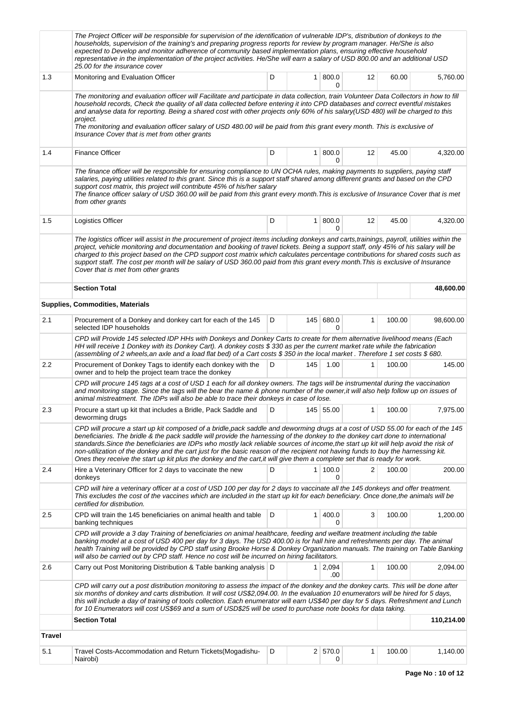|               | The Project Officer will be responsible for supervision of the identification of vulnerable IDP's, distribution of donkeys to the<br>households, supervision of the training's and preparing progress reports for review by program manager. He/She is also<br>expected to Develop and monitor adherence of community based implementation plans, ensuring effective household<br>representative in the implementation of the project activities. He/She will earn a salary of USD 800.00 and an additional USD<br>25.00 for the insurance cover                                                                                                                             |   |                |                    |    |        |            |
|---------------|------------------------------------------------------------------------------------------------------------------------------------------------------------------------------------------------------------------------------------------------------------------------------------------------------------------------------------------------------------------------------------------------------------------------------------------------------------------------------------------------------------------------------------------------------------------------------------------------------------------------------------------------------------------------------|---|----------------|--------------------|----|--------|------------|
| 1.3           | Monitoring and Evaluation Officer                                                                                                                                                                                                                                                                                                                                                                                                                                                                                                                                                                                                                                            | D | 1 <sup>1</sup> | 800.0<br>0         | 12 | 60.00  | 5,760.00   |
|               | The monitoring and evaluation officer will Facilitate and participate in data collection, train Volunteer Data Collectors in how to fill<br>household records, Check the quality of all data collected before entering it into CPD databases and correct eventful mistakes<br>and analyse data for reporting. Being a shared cost with other projects only 60% of his salary(USD 480) will be charged to this<br>project.<br>The monitoring and evaluation officer salary of USD 480.00 will be paid from this grant every month. This is exclusive of<br>Insurance Cover that is met from other grants                                                                      |   |                |                    |    |        |            |
| 1.4           | <b>Finance Officer</b>                                                                                                                                                                                                                                                                                                                                                                                                                                                                                                                                                                                                                                                       | D | 1 <sup>1</sup> | 800.0<br>0         | 12 | 45.00  | 4,320.00   |
|               | The finance officer will be responsible for ensuring compliance to UN OCHA rules, making payments to suppliers, paying staff<br>salaries, paying utilities related to this grant. Since this is a support staff shared among different grants and based on the CPD<br>support cost matrix, this project will contribute 45% of his/her salary<br>The finance officer salary of USD 360.00 will be paid from this grant every month. This is exclusive of Insurance Cover that is met<br>from other grants                                                                                                                                                                    |   |                |                    |    |        |            |
| 1.5           | Logistics Officer                                                                                                                                                                                                                                                                                                                                                                                                                                                                                                                                                                                                                                                            | D | 1              | 800.0<br>0         | 12 | 45.00  | 4,320.00   |
|               | The logistics officer will assist in the procurement of project items including donkeys and carts, trainings, payroll, utilities within the<br>project, vehicle monitoring and documentation and booking of travel tickets. Being a support staff, only 45% of his salary will be<br>charged to this project based on the CPD support cost matrix which calculates percentage contributions for shared costs such as<br>support staff. The cost per month will be salary of USD 360.00 paid from this grant every month. This is exclusive of Insurance<br>Cover that is met from other grants                                                                               |   |                |                    |    |        |            |
|               | <b>Section Total</b>                                                                                                                                                                                                                                                                                                                                                                                                                                                                                                                                                                                                                                                         |   |                |                    |    |        | 48,600.00  |
|               | <b>Supplies, Commodities, Materials</b>                                                                                                                                                                                                                                                                                                                                                                                                                                                                                                                                                                                                                                      |   |                |                    |    |        |            |
| 2.1           | Procurement of a Donkey and donkey cart for each of the 145<br>selected IDP households                                                                                                                                                                                                                                                                                                                                                                                                                                                                                                                                                                                       | D |                | 145 680.0<br>0     | 1  | 100.00 | 98,600.00  |
|               | CPD will Provide 145 selected IDP HHs with Donkeys and Donkey Carts to create for them alternative livelihood means (Each<br>HH will receive 1 Donkey with its Donkey Cart). A donkey costs \$330 as per the current market rate while the fabrication<br>(assembling of 2 wheels, an axle and a load flat bed) of a Cart costs \$350 in the local market. Therefore 1 set costs \$680.                                                                                                                                                                                                                                                                                      |   |                |                    |    |        |            |
| 2.2           | Procurement of Donkey Tags to identify each donkey with the<br>owner and to help the project team trace the donkey                                                                                                                                                                                                                                                                                                                                                                                                                                                                                                                                                           | D | 145            | 1.00               | 1  | 100.00 | 145.00     |
|               | CPD will procure 145 tags at a cost of USD 1 each for all donkey owners. The tags will be instrumental during the vaccination<br>and monitoring stage. Since the tags will the bear the name & phone number of the owner, it will also help follow up on issues of<br>animal mistreatment. The IDPs will also be able to trace their donkeys in case of lose.                                                                                                                                                                                                                                                                                                                |   |                |                    |    |        |            |
| 2.3           | Procure a start up kit that includes a Bridle, Pack Saddle and<br>deworming drugs                                                                                                                                                                                                                                                                                                                                                                                                                                                                                                                                                                                            | D |                | 145 55.00          | 1  | 100.00 | 7,975.00   |
|               | CPD will procure a start up kit composed of a bridle, pack saddle and deworming drugs at a cost of USD 55.00 for each of the 145<br>beneficiaries. The bridle & the pack saddle will provide the harnessing of the donkey to the donkey cart done to international<br>standards. Since the beneficiaries are IDPs who mostly lack reliable sources of income, the start up kit will help avoid the risk of<br>non-utilization of the donkey and the cart just for the basic reason of the recipient not having funds to buy the harnessing kit.<br>Ones they receive the start up kit plus the donkey and the cart, it will give them a complete set that is ready for work. |   |                |                    |    |        |            |
| 2.4           | Hire a Veterinary Officer for 2 days to vaccinate the new<br>donkeys                                                                                                                                                                                                                                                                                                                                                                                                                                                                                                                                                                                                         | D | 1              | 100.0<br>0         | 2  | 100.00 | 200.00     |
|               | CPD will hire a veterinary officer at a cost of USD 100 per day for 2 days to vaccinate all the 145 donkeys and offer treatment.<br>This excludes the cost of the vaccines which are included in the start up kit for each beneficiary. Once done,the animals will be<br>certified for distribution.                                                                                                                                                                                                                                                                                                                                                                         |   |                |                    |    |        |            |
| 2.5           | CPD will train the 145 beneficiaries on animal health and table<br>banking techniques                                                                                                                                                                                                                                                                                                                                                                                                                                                                                                                                                                                        | D | 1              | 400.0<br>0         | 3  | 100.00 | 1,200.00   |
|               | CPD will provide a 3 day Training of beneficiaries on animal healthcare, feeding and welfare treatment including the table<br>banking model at a cost of USD 400 per day for 3 days. The USD 400.00 is for hall hire and refreshments per day. The animal<br>health Training will be provided by CPD staff using Brooke Horse & Donkey Organization manuals. The training on Table Banking<br>will also be carried out by CPD staff. Hence no cost will be incurred on hiring facilitators.                                                                                                                                                                                  |   |                |                    |    |        |            |
| 2.6           | Carry out Post Monitoring Distribution & Table banking analysis   D                                                                                                                                                                                                                                                                                                                                                                                                                                                                                                                                                                                                          |   |                | $1 \ 2,094$<br>.00 | 1  | 100.00 | 2,094.00   |
|               | CPD will carry out a post distribution monitoring to assess the impact of the donkey and the donkey carts. This will be done after<br>six months of donkey and carts distribution. It will cost US\$2,094.00. In the evaluation 10 enumerators will be hired for 5 days,<br>this will include a day of training of tools collection. Each enumerator will earn US\$40 per day for 5 days. Refreshment and Lunch<br>for 10 Enumerators will cost US\$69 and a sum of USD\$25 will be used to purchase note books for data taking.                                                                                                                                             |   |                |                    |    |        |            |
|               | <b>Section Total</b>                                                                                                                                                                                                                                                                                                                                                                                                                                                                                                                                                                                                                                                         |   |                |                    |    |        | 110,214.00 |
| <b>Travel</b> |                                                                                                                                                                                                                                                                                                                                                                                                                                                                                                                                                                                                                                                                              |   |                |                    |    |        |            |
| 5.1           | Travel Costs-Accommodation and Return Tickets (Mogadishu-<br>Nairobi)                                                                                                                                                                                                                                                                                                                                                                                                                                                                                                                                                                                                        | D |                | 2 570.0<br>0       | 1  | 100.00 | 1,140.00   |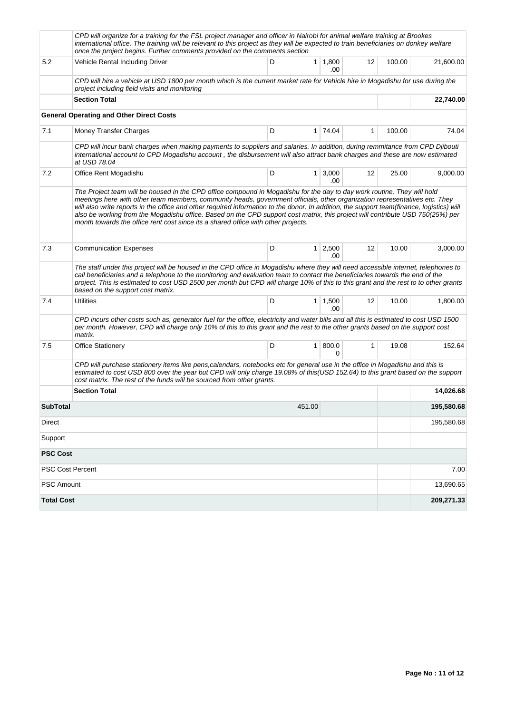|                   | CPD will organize for a training for the FSL project manager and officer in Nairobi for animal welfare training at Brookes<br>international office. The training will be relevant to this project as they will be expected to train beneficiaries on donkey welfare<br>once the project begins. Further comments provided on the comments section                                                                                                                                                                                                                                                                         |   |                |                       |              |        |            |
|-------------------|---------------------------------------------------------------------------------------------------------------------------------------------------------------------------------------------------------------------------------------------------------------------------------------------------------------------------------------------------------------------------------------------------------------------------------------------------------------------------------------------------------------------------------------------------------------------------------------------------------------------------|---|----------------|-----------------------|--------------|--------|------------|
| 5.2               | Vehicle Rental Including Driver                                                                                                                                                                                                                                                                                                                                                                                                                                                                                                                                                                                           | D |                | $1 \mid 1,800$<br>.00 | 12           | 100.00 | 21,600.00  |
|                   | CPD will hire a vehicle at USD 1800 per month which is the current market rate for Vehicle hire in Mogadishu for use during the<br>project including field visits and monitoring                                                                                                                                                                                                                                                                                                                                                                                                                                          |   |                |                       |              |        |            |
|                   | <b>Section Total</b>                                                                                                                                                                                                                                                                                                                                                                                                                                                                                                                                                                                                      |   |                | 22,740.00             |              |        |            |
|                   | <b>General Operating and Other Direct Costs</b>                                                                                                                                                                                                                                                                                                                                                                                                                                                                                                                                                                           |   |                |                       |              |        |            |
| 7.1               | Money Transfer Charges                                                                                                                                                                                                                                                                                                                                                                                                                                                                                                                                                                                                    | D |                | 1 74.04               | 1            | 100.00 | 74.04      |
|                   | CPD will incur bank charges when making payments to suppliers and salaries. In addition, during remmitance from CPD Djibouti<br>international account to CPD Mogadishu account, the disbursement will also attract bank charges and these are now estimated<br>at USD 78.04                                                                                                                                                                                                                                                                                                                                               |   |                |                       |              |        |            |
| 7.2               | Office Rent Mogadishu                                                                                                                                                                                                                                                                                                                                                                                                                                                                                                                                                                                                     | D | $\mathbf{1}$   | 3,000<br>.00          | 12           | 25.00  | 9,000.00   |
|                   | The Project team will be housed in the CPD office compound in Mogadishu for the day to day work routine. They will hold<br>meetings here with other team members, community heads, government officials, other organization representatives etc. They<br>will also write reports in the office and other required information to the donor. In addition, the support team(finance, logistics) will<br>also be working from the Mogadishu office. Based on the CPD support cost matrix, this project will contribute USD 750(25%) per<br>month towards the office rent cost since its a shared office with other projects. |   |                |                       |              |        |            |
| 7.3               | <b>Communication Expenses</b>                                                                                                                                                                                                                                                                                                                                                                                                                                                                                                                                                                                             | D | 1 <sup>1</sup> | 2,500<br>.00          | 12           | 10.00  | 3,000.00   |
|                   | The staff under this project will be housed in the CPD office in Mogadishu where they will need accessible internet, telephones to<br>call beneficiaries and a telephone to the monitoring and evaluation team to contact the beneficiaries towards the end of the<br>project. This is estimated to cost USD 2500 per month but CPD will charge 10% of this to this grant and the rest to to other grants<br>based on the support cost matrix.                                                                                                                                                                            |   |                |                       |              |        |            |
| 7.4               | Utilities                                                                                                                                                                                                                                                                                                                                                                                                                                                                                                                                                                                                                 | D |                | $1 \mid 1,500$<br>.00 | 12           | 10.00  | 1,800.00   |
|                   | CPD incurs other costs such as, generator fuel for the office, electricity and water bills and all this is estimated to cost USD 1500<br>per month. However, CPD will charge only 10% of this to this grant and the rest to the other grants based on the support cost<br>matrix.                                                                                                                                                                                                                                                                                                                                         |   |                |                       |              |        |            |
| 7.5               | <b>Office Stationery</b>                                                                                                                                                                                                                                                                                                                                                                                                                                                                                                                                                                                                  | D | 1              | 800.0<br>0            | $\mathbf{1}$ | 19.08  | 152.64     |
|                   | CPD will purchase stationery items like pens, calendars, notebooks etc for general use in the office in Mogadishu and this is<br>estimated to cost USD 800 over the year but CPD will only charge 19.08% of this(USD 152.64) to this grant based on the support<br>cost matrix. The rest of the funds will be sourced from other grants.                                                                                                                                                                                                                                                                                  |   |                |                       |              |        |            |
|                   | <b>Section Total</b>                                                                                                                                                                                                                                                                                                                                                                                                                                                                                                                                                                                                      |   |                |                       |              |        | 14,026.68  |
| <b>SubTotal</b>   |                                                                                                                                                                                                                                                                                                                                                                                                                                                                                                                                                                                                                           |   | 451.00         |                       |              |        | 195,580.68 |
| Direct            |                                                                                                                                                                                                                                                                                                                                                                                                                                                                                                                                                                                                                           |   |                |                       |              |        | 195,580.68 |
| Support           |                                                                                                                                                                                                                                                                                                                                                                                                                                                                                                                                                                                                                           |   |                |                       |              |        |            |
| <b>PSC Cost</b>   |                                                                                                                                                                                                                                                                                                                                                                                                                                                                                                                                                                                                                           |   |                |                       |              |        |            |
| PSC Cost Percent  |                                                                                                                                                                                                                                                                                                                                                                                                                                                                                                                                                                                                                           |   |                |                       |              |        | 7.00       |
| PSC Amount        |                                                                                                                                                                                                                                                                                                                                                                                                                                                                                                                                                                                                                           |   |                |                       |              |        | 13,690.65  |
| <b>Total Cost</b> |                                                                                                                                                                                                                                                                                                                                                                                                                                                                                                                                                                                                                           |   |                |                       |              |        | 209,271.33 |